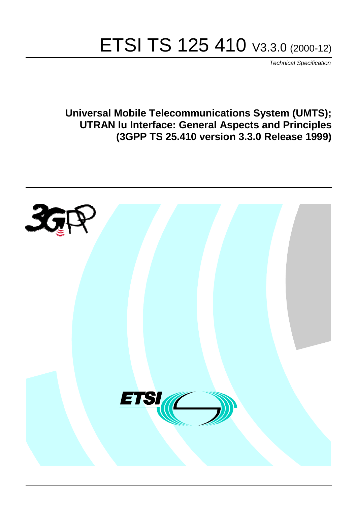# ETSI TS 125 410 V3.3.0 (2000-12)

Technical Specification

**Universal Mobile Telecommunications System (UMTS); UTRAN Iu Interface: General Aspects and Principles (3GPP TS 25.410 version 3.3.0 Release 1999)**

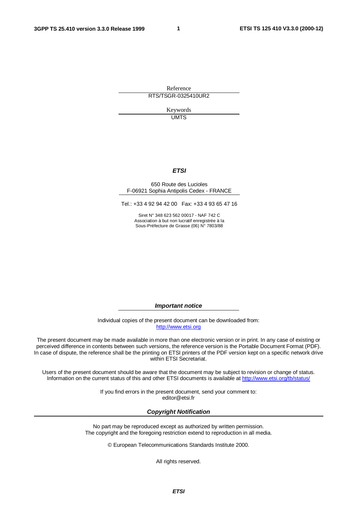**1**

Reference RTS/TSGR-0325410UR2

> Keywords **UMTS**

#### **ETSI**

#### 650 Route des Lucioles F-06921 Sophia Antipolis Cedex - FRANCE

Tel.: +33 4 92 94 42 00 Fax: +33 4 93 65 47 16

Siret N° 348 623 562 00017 - NAF 742 C Association à but non lucratif enregistrée à la Sous-Préfecture de Grasse (06) N° 7803/88

**Important notice**

Individual copies of the present document can be downloaded from: [http://www.etsi.org](http://www.etsi.org/)

The present document may be made available in more than one electronic version or in print. In any case of existing or perceived difference in contents between such versions, the reference version is the Portable Document Format (PDF). In case of dispute, the reference shall be the printing on ETSI printers of the PDF version kept on a specific network drive within ETSI Secretariat.

Users of the present document should be aware that the document may be subject to revision or change of status. Information on the current status of this and other ETSI documents is available at <http://www.etsi.org/tb/status>/

> If you find errors in the present document, send your comment to: <editor@etsi.fr>

#### **Copyright Notification**

No part may be reproduced except as authorized by written permission. The copyright and the foregoing restriction extend to reproduction in all media.

© European Telecommunications Standards Institute 2000.

All rights reserved.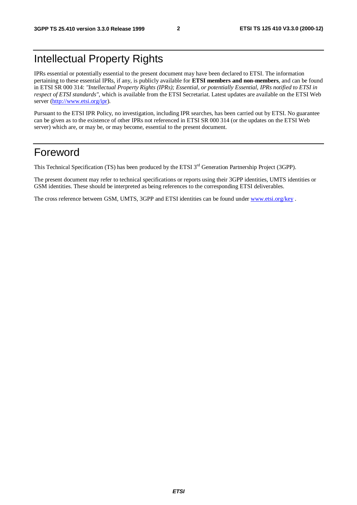# Intellectual Property Rights

IPRs essential or potentially essential to the present document may have been declared to ETSI. The information pertaining to these essential IPRs, if any, is publicly available for **ETSI members and non-members**, and can be found in ETSI SR 000 314: *"Intellectual Property Rights (IPRs); Essential, or potentially Essential, IPRs notified to ETSI in respect of ETSI standards"*, which is available from the ETSI Secretariat. Latest updates are available on the ETSI Web server [\(http://www.etsi.org/ipr](http://www.etsi.org/ipr)).

Pursuant to the ETSI IPR Policy, no investigation, including IPR searches, has been carried out by ETSI. No guarantee can be given as to the existence of other IPRs not referenced in ETSI SR 000 314 (or the updates on the ETSI Web server) which are, or may be, or may become, essential to the present document.

# Foreword

This Technical Specification (TS) has been produced by the ETSI 3<sup>rd</sup> Generation Partnership Project (3GPP).

The present document may refer to technical specifications or reports using their 3GPP identities, UMTS identities or GSM identities. These should be interpreted as being references to the corresponding ETSI deliverables.

The cross reference between GSM, UMTS, 3GPP and ETSI identities can be found under [www.etsi.org/key](http://www.etsi.org/key) .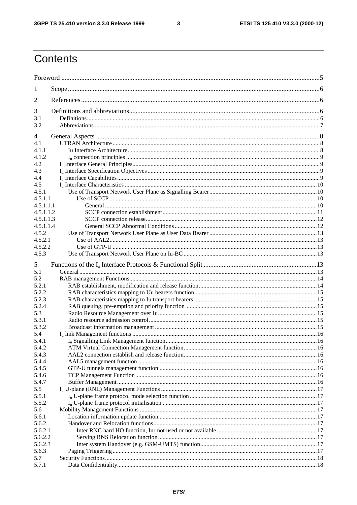$\overline{\mathbf{3}}$ 

# Contents

| 1              |  |  |  |  |  |
|----------------|--|--|--|--|--|
| 2              |  |  |  |  |  |
| 3              |  |  |  |  |  |
| 3.1            |  |  |  |  |  |
| 3.2            |  |  |  |  |  |
| 4              |  |  |  |  |  |
| 4.1            |  |  |  |  |  |
| 4.1.1          |  |  |  |  |  |
| 4.1.2          |  |  |  |  |  |
| 4.2            |  |  |  |  |  |
| 4.3            |  |  |  |  |  |
| 4.4            |  |  |  |  |  |
| 4.5            |  |  |  |  |  |
| 4.5.1          |  |  |  |  |  |
| 4.5.1.1        |  |  |  |  |  |
| 4.5.1.1.1      |  |  |  |  |  |
| 4.5.1.1.2      |  |  |  |  |  |
| 4.5.1.1.3      |  |  |  |  |  |
| 4.5.1.1.4      |  |  |  |  |  |
| 4.5.2          |  |  |  |  |  |
| 4.5.2.1        |  |  |  |  |  |
| 4.5.2.2        |  |  |  |  |  |
| 4.5.3          |  |  |  |  |  |
| 5              |  |  |  |  |  |
| 5.1            |  |  |  |  |  |
| 5.2            |  |  |  |  |  |
| 5.2.1          |  |  |  |  |  |
| 5.2.2          |  |  |  |  |  |
| 5.2.3          |  |  |  |  |  |
| 5.2.4          |  |  |  |  |  |
| 5.3            |  |  |  |  |  |
| 5.3.1          |  |  |  |  |  |
| 5.3.2          |  |  |  |  |  |
| 5.4            |  |  |  |  |  |
| 5.4.1          |  |  |  |  |  |
| 5.4.2          |  |  |  |  |  |
| 5.4.3          |  |  |  |  |  |
| 5.4.4          |  |  |  |  |  |
| 5.4.5          |  |  |  |  |  |
| 5.4.6<br>5.4.7 |  |  |  |  |  |
| 5.5            |  |  |  |  |  |
| 5.5.1          |  |  |  |  |  |
| 5.5.2          |  |  |  |  |  |
| 5.6            |  |  |  |  |  |
| 5.6.1          |  |  |  |  |  |
| 5.6.2          |  |  |  |  |  |
| 5.6.2.1        |  |  |  |  |  |
| 5.6.2.2        |  |  |  |  |  |
| 5.6.2.3        |  |  |  |  |  |
| 5.6.3          |  |  |  |  |  |
| 5.7            |  |  |  |  |  |
| 5.7.1          |  |  |  |  |  |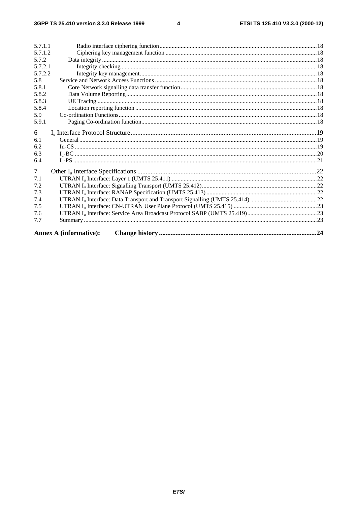$\overline{\mathbf{4}}$ 

| 5.7.1.1        |                               |  |  |  |  |
|----------------|-------------------------------|--|--|--|--|
| 5.7.1.2        |                               |  |  |  |  |
| 5.7.2          |                               |  |  |  |  |
| 5.7.2.1        |                               |  |  |  |  |
| 5.7.2.2        |                               |  |  |  |  |
| 5.8            |                               |  |  |  |  |
| 5.8.1          |                               |  |  |  |  |
| 5.8.2          |                               |  |  |  |  |
| 5.8.3          |                               |  |  |  |  |
| 5.8.4          |                               |  |  |  |  |
| 5.9            |                               |  |  |  |  |
| 5.9.1          |                               |  |  |  |  |
| 6              |                               |  |  |  |  |
| 6.1            |                               |  |  |  |  |
| 6.2            |                               |  |  |  |  |
| 6.3            |                               |  |  |  |  |
| 6.4            |                               |  |  |  |  |
| $\overline{7}$ |                               |  |  |  |  |
| 7.1            |                               |  |  |  |  |
| 7.2            |                               |  |  |  |  |
| 7.3            |                               |  |  |  |  |
| 7.4            |                               |  |  |  |  |
| 7.5            |                               |  |  |  |  |
| 7.6            |                               |  |  |  |  |
| 7.7            |                               |  |  |  |  |
|                | <b>Annex A (informative):</b> |  |  |  |  |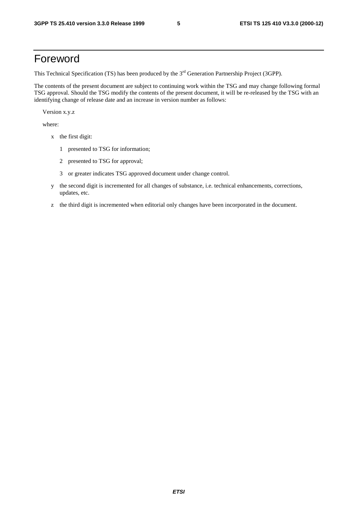# Foreword

This Technical Specification (TS) has been produced by the 3<sup>rd</sup> Generation Partnership Project (3GPP).

The contents of the present document are subject to continuing work within the TSG and may change following formal TSG approval. Should the TSG modify the contents of the present document, it will be re-released by the TSG with an identifying change of release date and an increase in version number as follows:

Version x.y.z

where:

- x the first digit:
	- 1 presented to TSG for information;
	- 2 presented to TSG for approval;
	- 3 or greater indicates TSG approved document under change control.
- y the second digit is incremented for all changes of substance, i.e. technical enhancements, corrections, updates, etc.
- z the third digit is incremented when editorial only changes have been incorporated in the document.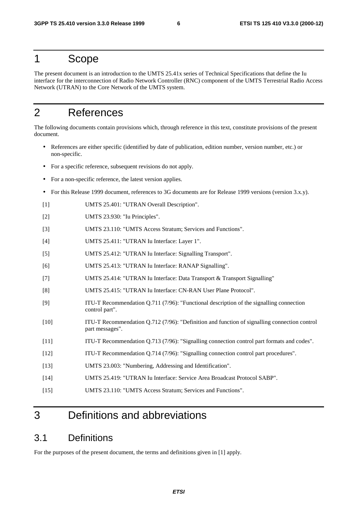# 1 Scope

The present document is an introduction to the UMTS 25.41x series of Technical Specifications that define the Iu interface for the interconnection of Radio Network Controller (RNC) component of the UMTS Terrestrial Radio Access Network (UTRAN) to the Core Network of the UMTS system.

# 2 References

The following documents contain provisions which, through reference in this text, constitute provisions of the present document.

- References are either specific (identified by date of publication, edition number, version number, etc.) or non-specific.
- For a specific reference, subsequent revisions do not apply.
- For a non-specific reference, the latest version applies.
- For this Release 1999 document, references to 3G documents are for Release 1999 versions (version 3.x.y).
- [1] UMTS 25.401: "UTRAN Overall Description".
- [2] UMTS 23.930: "Iu Principles".
- [3] UMTS 23.110: "UMTS Access Stratum; Services and Functions".
- [4] UMTS 25.411: "UTRAN Iu Interface: Layer 1".
- [5] UMTS 25.412: "UTRAN Iu Interface: Signalling Transport".
- [6] UMTS 25.413: "UTRAN Iu Interface: RANAP Signalling".
- [7] UMTS 25.414: "UTRAN Iu Interface: Data Transport & Transport Signalling"
- [8] UMTS 25.415: "UTRAN Iu Interface: CN-RAN User Plane Protocol".
- [9] ITU-T Recommendation Q.711 (7/96): "Functional description of the signalling connection control part".
- [10] ITU-T Recommendation Q.712 (7/96): "Definition and function of signalling connection control part messages".
- [11] ITU-T Recommendation Q.713 (7/96): "Signalling connection control part formats and codes".
- [12] ITU-T Recommendation Q.714 (7/96): "Signalling connection control part procedures".
- [13] UMTS 23.003: "Numbering, Addressing and Identification".
- [14] UMTS 25.419: "UTRAN Iu Interface: Service Area Broadcast Protocol SABP".
- [15] UMTS 23.110: "UMTS Access Stratum; Services and Functions".

# 3 Definitions and abbreviations

### 3.1 Definitions

For the purposes of the present document, the terms and definitions given in [1] apply.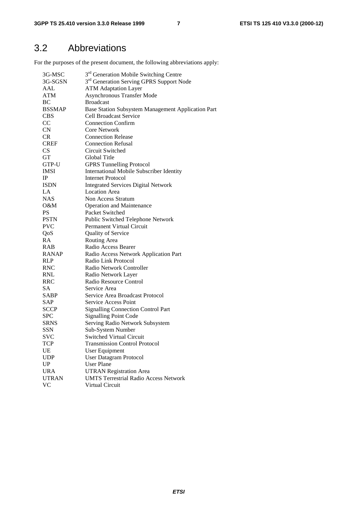# 3.2 Abbreviations

For the purposes of the present document, the following abbreviations apply:

| 3G-MSC        | 3 <sup>rd</sup> Generation Mobile Switching Centre   |
|---------------|------------------------------------------------------|
| 3G-SGSN       | 3 <sup>rd</sup> Generation Serving GPRS Support Node |
| AAL           | <b>ATM Adaptation Layer</b>                          |
| <b>ATM</b>    | <b>Asynchronous Transfer Mode</b>                    |
| BC            | <b>Broadcast</b>                                     |
| <b>BSSMAP</b> | Base Station Subsystem Management Application Part   |
| <b>CBS</b>    | <b>Cell Broadcast Service</b>                        |
| CC            | <b>Connection Confirm</b>                            |
| CN            | <b>Core Network</b>                                  |
| <b>CR</b>     | <b>Connection Release</b>                            |
| <b>CREF</b>   | <b>Connection Refusal</b>                            |
| <b>CS</b>     | Circuit Switched                                     |
| <b>GT</b>     | Global Title                                         |
| GTP-U         | <b>GPRS Tunnelling Protocol</b>                      |
| <b>IMSI</b>   | <b>International Mobile Subscriber Identity</b>      |
| $_{\rm IP}$   | <b>Internet Protocol</b>                             |
| <b>ISDN</b>   | <b>Integrated Services Digital Network</b>           |
| LA            | <b>Location Area</b>                                 |
| <b>NAS</b>    | Non Access Stratum                                   |
| O&M           | <b>Operation and Maintenance</b>                     |
| <b>PS</b>     | Packet Switched                                      |
| <b>PSTN</b>   | Public Switched Telephone Network                    |
| <b>PVC</b>    | <b>Permanent Virtual Circuit</b>                     |
| QoS           | Quality of Service                                   |
| RA            | Routing Area                                         |
| <b>RAB</b>    | Radio Access Bearer                                  |
| <b>RANAP</b>  | Radio Access Network Application Part                |
| <b>RLP</b>    | Radio Link Protocol                                  |
| <b>RNC</b>    | Radio Network Controller                             |
| <b>RNL</b>    | Radio Network Layer                                  |
| RRC           | Radio Resource Control                               |
| <b>SA</b>     | Service Area                                         |
| SABP          | Service Area Broadcast Protocol                      |
| SAP           | Service Access Point                                 |
| <b>SCCP</b>   | <b>Signalling Connection Control Part</b>            |
| <b>SPC</b>    | <b>Signalling Point Code</b>                         |
| <b>SRNS</b>   | Serving Radio Network Subsystem                      |
| SSN           | Sub-System Number                                    |
| <b>SVC</b>    | <b>Switched Virtual Circuit</b>                      |
| <b>TCP</b>    | <b>Transmission Control Protocol</b>                 |
| UE            | User Equipment                                       |
| <b>UDP</b>    | <b>User Datagram Protocol</b>                        |
| UP            | <b>User Plane</b>                                    |
| <b>URA</b>    | <b>UTRAN Registration Area</b>                       |
| <b>UTRAN</b>  | <b>UMTS Terrestrial Radio Access Network</b>         |
| VC            | Virtual Circuit                                      |
|               |                                                      |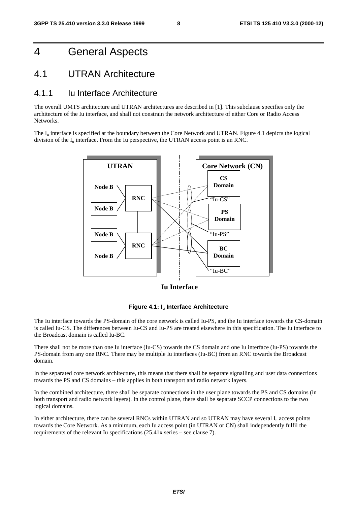# 4 General Aspects

### 4.1 UTRAN Architecture

#### 4.1.1 Iu Interface Architecture

The overall UMTS architecture and UTRAN architectures are described in [1]. This subclause specifies only the architecture of the Iu interface, and shall not constrain the network architecture of either Core or Radio Access Networks.

The I<sub>u</sub> interface is specified at the boundary between the Core Network and UTRAN. Figure 4.1 depicts the logical division of the  $I_u$  interface. From the Iu perspective, the UTRAN access point is an RNC.



**Iu Interface**



The Iu interface towards the PS-domain of the core network is called Iu-PS, and the Iu interface towards the CS-domain is called Iu-CS. The differences between Iu-CS and Iu-PS are treated elsewhere in this specification. The Iu interface to the Broadcast domain is called Iu-BC.

There shall not be more than one Iu interface (Iu-CS) towards the CS domain and one Iu interface (Iu-PS) towards the PS-domain from any one RNC. There may be multiple Iu interfaces (Iu-BC) from an RNC towards the Broadcast domain.

In the separated core network architecture, this means that there shall be separate signalling and user data connections towards the PS and CS domains – this applies in both transport and radio network layers.

In the combined architecture, there shall be separate connections in the user plane towards the PS and CS domains (in both transport and radio network layers). In the control plane, there shall be separate SCCP connections to the two logical domains.

In either architecture, there can be several RNCs within UTRAN and so UTRAN may have several  $I<sub>u</sub>$  access points towards the Core Network. As a minimum, each Iu access point (in UTRAN or CN) shall independently fulfil the requirements of the relevant Iu specifications (25.41x series – see clause 7).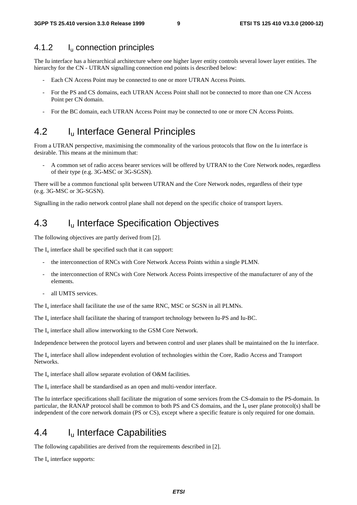#### 4.1.2 I<sub>u</sub> connection principles

The Iu interface has a hierarchical architecture where one higher layer entity controls several lower layer entities. The hierarchy for the CN - UTRAN signalling connection end points is described below:

- Each CN Access Point may be connected to one or more UTRAN Access Points.
- For the PS and CS domains, each UTRAN Access Point shall not be connected to more than one CN Access Point per CN domain.
- For the BC domain, each UTRAN Access Point may be connected to one or more CN Access Points.

### 4.2 I<sub>u</sub> Interface General Principles

From a UTRAN perspective, maximising the commonality of the various protocols that flow on the Iu interface is desirable. This means at the minimum that:

- A common set of radio access bearer services will be offered by UTRAN to the Core Network nodes, regardless of their type (e.g. 3G-MSC or 3G-SGSN).

There will be a common functional split between UTRAN and the Core Network nodes, regardless of their type (e.g. 3G-MSC or 3G-SGSN).

Signalling in the radio network control plane shall not depend on the specific choice of transport layers.

### 4.3 I<sub>u</sub> Interface Specification Objectives

The following objectives are partly derived from [2].

The  $I_{\text{u}}$  interface shall be specified such that it can support:

- the interconnection of RNCs with Core Network Access Points within a single PLMN.
- the interconnection of RNCs with Core Network Access Points irrespective of the manufacturer of any of the elements.
- all UMTS services.

The  $I_{\rm u}$  interface shall facilitate the use of the same RNC, MSC or SGSN in all PLMNs.

The  $I_{\text{u}}$  interface shall facilitate the sharing of transport technology between Iu-PS and Iu-BC.

The  $I_{\text{u}}$  interface shall allow interworking to the GSM Core Network.

Independence between the protocol layers and between control and user planes shall be maintained on the Iu interface.

The  $I_{\rm u}$  interface shall allow independent evolution of technologies within the Core, Radio Access and Transport Networks.

The  $I_u$  interface shall allow separate evolution of O&M facilities.

The  $I_{\rm u}$  interface shall be standardised as an open and multi-vendor interface.

The Iu interface specifications shall facilitate the migration of some services from the CS-domain to the PS-domain. In particular, the RANAP protocol shall be common to both PS and CS domains, and the  $I<sub>u</sub>$  user plane protocol(s) shall be independent of the core network domain (PS or CS), except where a specific feature is only required for one domain.

# 4.4 I<sub>u</sub> Interface Capabilities

The following capabilities are derived from the requirements described in [2].

The  $I_u$  interface supports: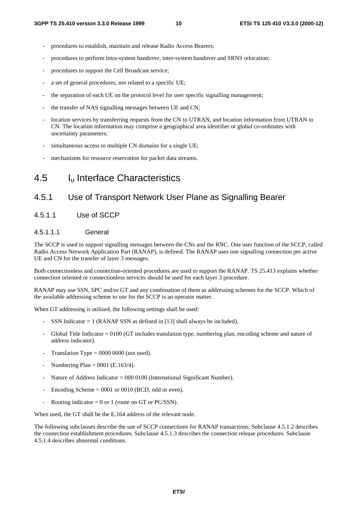- procedures to establish, maintain and release Radio Access Bearers;
- procedures to perform intra-system handover, inter-system handover and SRNS relocation;
- procedures to support the Cell Broadcast service;
- a set of general procedures, not related to a specific UE;
- the separation of each UE on the protocol level for user specific signalling management;
- the transfer of NAS signalling messages between UE and CN;
- location services by transferring requests from the CN to UTRAN, and location information from UTRAN to CN. The location information may comprise a geographical area identifier or global co-ordinates with uncertainty parameters;
- simultaneous access to multiple CN domains for a single UE;
- mechanisms for resource reservation for packet data streams.

### 4.5 Iu Interface Characteristics

#### 4.5.1 Use of Transport Network User Plane as Signalling Bearer

#### 4.5.1.1 Use of SCCP

#### 4.5.1.1.1 General

The SCCP is used to support signalling messages between the CNs and the RNC. One user function of the SCCP, called Radio Access Network Application Part (RANAP), is defined. The RANAP uses one signalling connection per active UE and CN for the transfer of layer 3 messages.

Both connectionless and connection-oriented procedures are used to support the RANAP. TS 25.413 explains whether connection oriented or connectionless services should be used for each layer 3 procedure.

RANAP may use SSN, SPC and/or GT and any combination of them as addressing schemes for the SCCP. Which of the available addressing scheme to use for the SCCP is an operator matter.

When GT addressing is utilised, the following settings shall be used:

- SSN Indicator  $= 1$  (RANAP SSN as defined in [13] shall always be included).
- Global Title Indicator = 0100 (GT includes translation type, numbering plan, encoding scheme and nature of address indicator).
- Translation Type  $= 0000 0000$  (not used).
- Numbering Plan =  $0001$  (E.163/4).
- Nature of Address Indicator =  $000\,0100$  (International Significant Number).
- Encoding Scheme  $= 0001$  or 0010 (BCD, odd or even).
- Routing indicator = 0 or 1 (route on GT or PC/SSN).

When used, the GT shall be the E.164 address of the relevant node.

The following subclauses describe the use of SCCP connections for RANAP transactions. Subclause 4.5.1.2 describes the connection establishment procedures. Subclause 4.5.1.3 describes the connection release procedures. Subclause 4.5.1.4 describes abnormal conditions.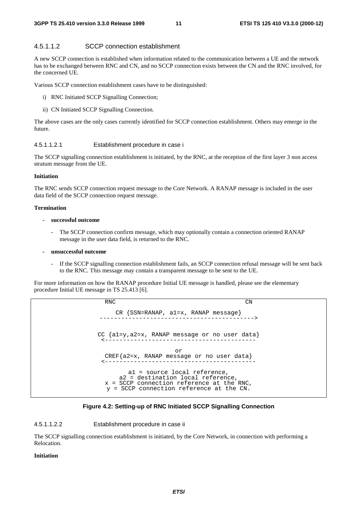#### 4.5.1.1.2 SCCP connection establishment

A new SCCP connection is established when information related to the communication between a UE and the network has to be exchanged between RNC and CN, and no SCCP connection exists between the CN and the RNC involved, for the concerned UE.

Various SCCP connection establishment cases have to be distinguished:

- i) RNC Initiated SCCP Signalling Connection;
- ii) CN Initiated SCCP Signalling Connection.

The above cases are the only cases currently identified for SCCP connection establishment. Others may emerge in the future.

#### 4.5.1.1.2.1 Establishment procedure in case i

The SCCP signalling connection establishment is initiated, by the RNC, at the reception of the first layer 3 non access stratum message from the UE.

#### **Initiation**

The RNC sends SCCP connection request message to the Core Network. A RANAP message is included in the user data field of the SCCP connection request message.

#### **Termination**

#### **- successful outcome**

The SCCP connection confirm message, which may optionally contain a connection oriented RANAP message in the user data field, is returned to the RNC.

#### **- unsuccessful outcome**

If the SCCP signalling connection establishment fails, an SCCP connection refusal message will be sent back to the RNC. This message may contain a transparent message to be sent to the UE.

For more information on how the RANAP procedure Initial UE message is handled, please see the elementary procedure Initial UE message in TS 25.413 [6].

> RNC CN  $CR$   $\{SSN=RANAP, al=x, RANAP message\}$ CC {a1=y,a2=x, RANAP message or no user data} <----------------------------------------- or CREF{a2=x, RANAP message or no user data} <----------------------------------------- a1 = source local reference, a2 = destination local reference, x = SCCP connection reference at the RNC, y = SCCP connection reference at the CN.

#### **Figure 4.2: Setting-up of RNC Initiated SCCP Signalling Connection**

4.5.1.1.2.2 Establishment procedure in case ii

The SCCP signalling connection establishment is initiated, by the Core Network, in connection with performing a Relocation.

#### **Initiation**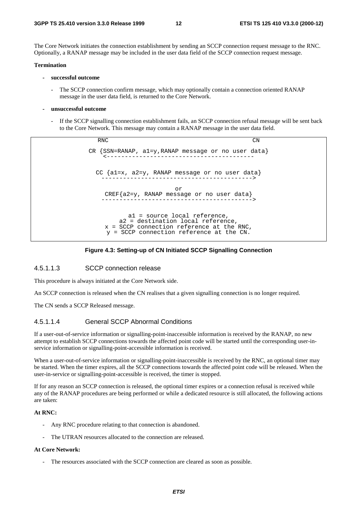The Core Network initiates the connection establishment by sending an SCCP connection request message to the RNC. Optionally, a RANAP message may be included in the user data field of the SCCP connection request message.

#### **Termination**

- **successful outcome**
	- The SCCP connection confirm message, which may optionally contain a connection oriented RANAP message in the user data field, is returned to the Core Network.
- **unsuccessful outcome**
	- If the SCCP signalling connection establishment fails, an SCCP connection refusal message will be sent back to the Core Network. This message may contain a RANAP message in the user data field.

RNC CN  $CR$   $\{SSN=RANAP, al=y, RANAP$  message or no user data} CC  $\{a1=x, a2=y, RANAP message or no user data\}$ or CREF{a2=y, RANAP message or no user data} ------------------------------------------> a1 = source local reference, a2 = destination local reference, x = SCCP connection reference at the RNC, y = SCCP connection reference at the CN.

#### **Figure 4.3: Setting-up of CN Initiated SCCP Signalling Connection**

#### 4.5.1.1.3 SCCP connection release

This procedure is always initiated at the Core Network side.

An SCCP connection is released when the CN realises that a given signalling connection is no longer required.

The CN sends a SCCP Released message.

#### 4.5.1.1.4 General SCCP Abnormal Conditions

If a user-out-of-service information or signalling-point-inaccessible information is received by the RANAP, no new attempt to establish SCCP connections towards the affected point code will be started until the corresponding user-inservice information or signalling-point-accessible information is received.

When a user-out-of-service information or signalling-point-inaccessible is received by the RNC, an optional timer may be started. When the timer expires, all the SCCP connections towards the affected point code will be released. When the user-in-service or signalling-point-accessible is received, the timer is stopped.

If for any reason an SCCP connection is released, the optional timer expires or a connection refusal is received while any of the RANAP procedures are being performed or while a dedicated resource is still allocated, the following actions are taken:

#### **At RNC:**

- Any RNC procedure relating to that connection is abandoned.
- The UTRAN resources allocated to the connection are released.

#### **At Core Network:**

The resources associated with the SCCP connection are cleared as soon as possible.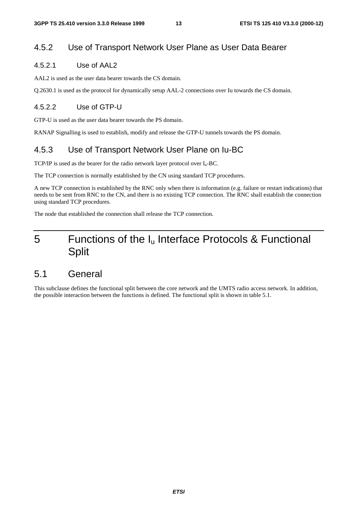### 4.5.2 Use of Transport Network User Plane as User Data Bearer

#### 4.5.2.1 Use of AAL2

AAL2 is used as the user data bearer towards the CS domain.

Q.2630.1 is used as the protocol for dynamically setup AAL-2 connections over Iu towards the CS domain.

#### 4.5.2.2 Use of GTP-U

GTP-U is used as the user data bearer towards the PS domain.

RANAP Signalling is used to establish, modify and release the GTP-U tunnels towards the PS domain.

### 4.5.3 Use of Transport Network User Plane on Iu-BC

TCP/IP is used as the bearer for the radio network layer protocol over  $I_u$ -BC.

The TCP connection is normally established by the CN using standard TCP procedures.

A new TCP connection is established by the RNC only when there is information (e.g. failure or restart indications) that needs to be sent from RNC to the CN, and there is no existing TCP connection. The RNC shall establish the connection using standard TCP procedures.

The node that established the connection shall release the TCP connection.

# 5 Functions of the Iu Interface Protocols & Functional Split

### 5.1 General

This subclause defines the functional split between the core network and the UMTS radio access network. In addition, the possible interaction between the functions is defined. The functional split is shown in table 5.1.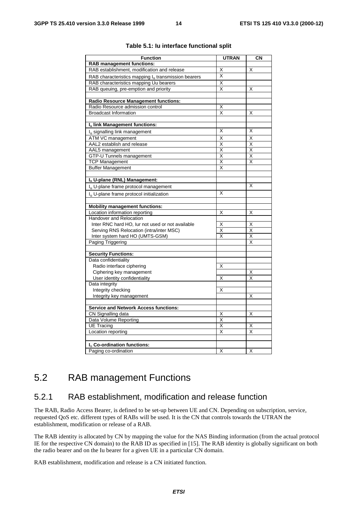| <b>Function</b>                                                 | <b>UTRAN</b>            | CN                      |
|-----------------------------------------------------------------|-------------------------|-------------------------|
| <b>RAB management functions:</b>                                |                         |                         |
| RAB establishment, modification and release                     | Χ                       | X                       |
|                                                                 | X                       |                         |
| RAB characteristics mapping l <sub>u</sub> transmission bearers |                         |                         |
| RAB characteristics mapping Uu bearers                          | X                       |                         |
| RAB queuing, pre-emption and priority                           | X                       | X                       |
|                                                                 |                         |                         |
| <b>Radio Resource Management functions:</b>                     |                         |                         |
| Radio Resource admission control                                | Χ                       |                         |
| <b>Broadcast Information</b>                                    | X                       | Χ                       |
| Iu link Management functions:                                   |                         |                         |
|                                                                 | Χ                       | Χ                       |
| Iu signalling link management                                   |                         |                         |
| ATM VC management                                               | X                       | X                       |
| AAL2 establish and release                                      | Χ                       | $\bar{\mathsf{x}}$      |
| AAL5 management                                                 | $\overline{\mathsf{x}}$ | $\overline{\mathsf{x}}$ |
| <b>GTP-U Tunnels management</b>                                 | X                       | Χ                       |
| <b>TCP Management</b>                                           | $\overline{\mathsf{x}}$ | X                       |
| <b>Buffer Management</b>                                        | Χ                       |                         |
| Iu U-plane (RNL) Management:                                    |                         |                         |
|                                                                 |                         | X                       |
| I <sub>n</sub> U-plane frame protocol management                |                         |                         |
| I <sub>u</sub> U-plane frame protocol initialization            | Χ                       |                         |
| <b>Mobility management functions:</b>                           |                         |                         |
| Location information reporting                                  | Χ                       | Χ                       |
| <b>Handover and Relocation</b>                                  |                         |                         |
| Inter RNC hard HO, lur not used or not available                | Χ                       | Χ                       |
| Serving RNS Relocation (intra/inter MSC)                        | $\overline{\mathsf{x}}$ | $\overline{\mathsf{x}}$ |
| Inter system hard HO (UMTS-GSM)                                 | X                       | X                       |
| Paging Triggering                                               |                         | X                       |
|                                                                 |                         |                         |
| <b>Security Functions:</b>                                      |                         |                         |
| Data confidentiality                                            |                         |                         |
| Radio interface ciphering                                       | Х                       |                         |
| Ciphering key management                                        |                         | Х                       |
| User identity confidentiality                                   | Χ                       | x                       |
| Data integrity                                                  |                         |                         |
| Integrity checking                                              | Χ                       |                         |
| Integrity key management                                        |                         | Χ                       |
|                                                                 |                         |                         |
| <b>Service and Network Access functions:</b>                    |                         |                         |
| CN Signalling data                                              | X                       | X                       |
| Data Volume Reporting                                           | Χ                       |                         |
| <b>UE Tracing</b>                                               | Χ                       | х                       |
| Location reporting                                              | X                       | X                       |
|                                                                 |                         |                         |
| I <sub>n</sub> Co-ordination functions:                         |                         |                         |
| Paging co-ordination                                            | X                       | Χ                       |

#### **Table 5.1: Iu interface functional split**

# 5.2 RAB management Functions

#### 5.2.1 RAB establishment, modification and release function

The RAB, Radio Access Bearer, is defined to be set-up between UE and CN. Depending on subscription, service, requested QoS etc. different types of RABs will be used. It is the CN that controls towards the UTRAN the establishment, modification or release of a RAB.

The RAB identity is allocated by CN by mapping the value for the NAS Binding information (from the actual protocol IE for the respective CN domain) to the RAB ID as specified in [15]. The RAB identity is globally significant on both the radio bearer and on the Iu bearer for a given UE in a particular CN domain.

RAB establishment, modification and release is a CN initiated function.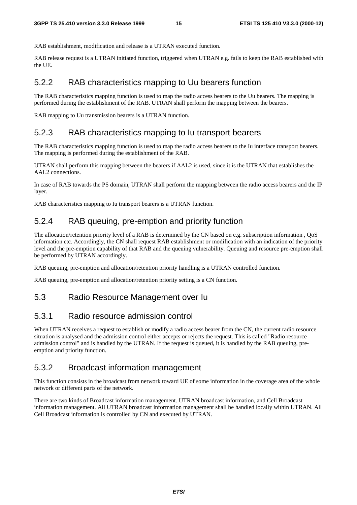RAB establishment, modification and release is a UTRAN executed function.

RAB release request is a UTRAN initiated function, triggered when UTRAN e.g. fails to keep the RAB established with the UE.

#### 5.2.2 RAB characteristics mapping to Uu bearers function

The RAB characteristics mapping function is used to map the radio access bearers to the Uu bearers. The mapping is performed during the establishment of the RAB. UTRAN shall perform the mapping between the bearers.

RAB mapping to Uu transmission bearers is a UTRAN function.

#### 5.2.3 RAB characteristics mapping to Iu transport bearers

The RAB characteristics mapping function is used to map the radio access bearers to the Iu interface transport bearers. The mapping is performed during the establishment of the RAB.

UTRAN shall perform this mapping between the bearers if AAL2 is used, since it is the UTRAN that establishes the AAL2 connections.

In case of RAB towards the PS domain, UTRAN shall perform the mapping between the radio access bearers and the IP layer.

RAB characteristics mapping to Iu transport bearers is a UTRAN function.

#### 5.2.4 RAB queuing, pre-emption and priority function

The allocation/retention priority level of a RAB is determined by the CN based on e.g. subscription information , QoS information etc. Accordingly, the CN shall request RAB establishment or modification with an indication of the priority level and the pre-emption capability of that RAB and the queuing vulnerability. Queuing and resource pre-emption shall be performed by UTRAN accordingly.

RAB queuing, pre-emption and allocation/retention priority handling is a UTRAN controlled function.

RAB queuing, pre-emption and allocation/retention priority setting is a CN function.

#### 5.3 Radio Resource Management over Iu

#### 5.3.1 Radio resource admission control

When UTRAN receives a request to establish or modify a radio access bearer from the CN, the current radio resource situation is analysed and the admission control either accepts or rejects the request. This is called "Radio resource admission control" and is handled by the UTRAN. If the request is queued, it is handled by the RAB queuing, preemption and priority function.

#### 5.3.2 Broadcast information management

This function consists in the broadcast from network toward UE of some information in the coverage area of the whole network or different parts of the network.

There are two kinds of Broadcast information management. UTRAN broadcast information, and Cell Broadcast information management. All UTRAN broadcast information management shall be handled locally within UTRAN. All Cell Broadcast information is controlled by CN and executed by UTRAN.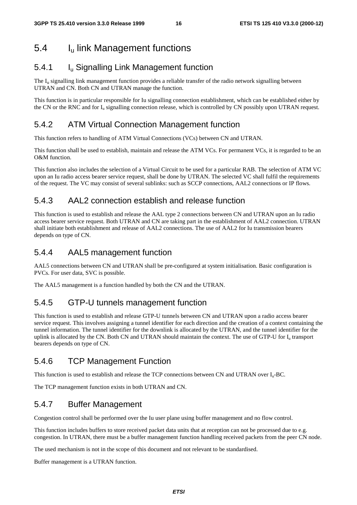# 5.4 Iu link Management functions

### 5.4.1 Iu Signalling Link Management function

The  $I<sub>u</sub>$  signalling link management function provides a reliable transfer of the radio network signalling between UTRAN and CN. Both CN and UTRAN manage the function.

This function is in particular responsible for Iu signalling connection establishment, which can be established either by the CN or the RNC and for  $I_u$  signalling connection release, which is controlled by CN possibly upon UTRAN request.

### 5.4.2 ATM Virtual Connection Management function

This function refers to handling of ATM Virtual Connections (VCs) between CN and UTRAN.

This function shall be used to establish, maintain and release the ATM VCs. For permanent VCs, it is regarded to be an O&M function.

This function also includes the selection of a Virtual Circuit to be used for a particular RAB. The selection of ATM VC upon an Iu radio access bearer service request, shall be done by UTRAN. The selected VC shall fulfil the requirements of the request. The VC may consist of several sublinks: such as SCCP connections, AAL2 connections or IP flows.

### 5.4.3 AAL2 connection establish and release function

This function is used to establish and release the AAL type 2 connections between CN and UTRAN upon an Iu radio access bearer service request. Both UTRAN and CN are taking part in the establishment of AAL2 connection. UTRAN shall initiate both establishment and release of AAL2 connections. The use of AAL2 for Iu transmission bearers depends on type of CN.

### 5.4.4 AAL5 management function

AAL5 connections between CN and UTRAN shall be pre-configured at system initialisation. Basic configuration is PVCs. For user data, SVC is possible.

The AAL5 management is a function handled by both the CN and the UTRAN.

### 5.4.5 GTP-U tunnels management function

This function is used to establish and release GTP-U tunnels between CN and UTRAN upon a radio access bearer service request. This involves assigning a tunnel identifier for each direction and the creation of a context containing the tunnel information. The tunnel identifier for the downlink is allocated by the UTRAN, and the tunnel identifier for the uplink is allocated by the CN. Both CN and UTRAN should maintain the context. The use of GTP-U for  $I<sub>u</sub>$  transport bearers depends on type of CN.

### 5.4.6 TCP Management Function

This function is used to establish and release the TCP connections between CN and UTRAN over  $I_{\text{u}}$ -BC.

The TCP management function exists in both UTRAN and CN.

### 5.4.7 Buffer Management

Congestion control shall be performed over the Iu user plane using buffer management and no flow control.

This function includes buffers to store received packet data units that at reception can not be processed due to e.g. congestion. In UTRAN, there must be a buffer management function handling received packets from the peer CN node.

The used mechanism is not in the scope of this document and not relevant to be standardised.

Buffer management is a UTRAN function.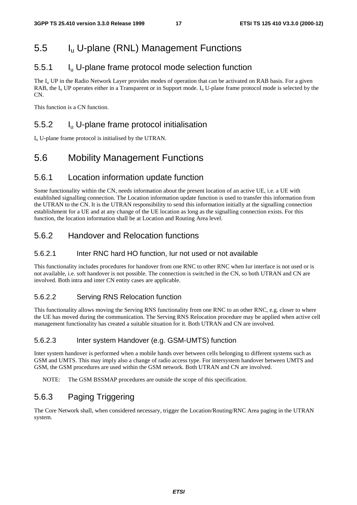# 5.5 Iu U-plane (RNL) Management Functions

### 5.5.1 Iu U-plane frame protocol mode selection function

The  $I_u$  UP in the Radio Network Layer provides modes of operation that can be activated on RAB basis. For a given RAB, the  $I_{\rm u}$  UP operates either in a Transparent or in Support mode.  $I_{\rm u}$  U-plane frame protocol mode is selected by the  $\overline{C}N$ 

This function is a CN function.

### 5.5.2 Iu U-plane frame protocol initialisation

Iu U-plane frame protocol is initialised by the UTRAN.

# 5.6 Mobility Management Functions

#### 5.6.1 Location information update function

Some functionality within the CN, needs information about the present location of an active UE, i.e. a UE with established signalling connection. The Location information update function is used to transfer this information from the UTRAN to the CN. It is the UTRAN responsibility to send this information initially at the signalling connection establishment for a UE and at any change of the UE location as long as the signalling connection exists. For this function, the location information shall be at Location and Routing Area level.

### 5.6.2 Handover and Relocation functions

#### 5.6.2.1 Inter RNC hard HO function, Iur not used or not available

This functionality includes procedures for handover from one RNC to other RNC when Iur interface is not used or is not available, i.e. soft handover is not possible. The connection is switched in the CN, so both UTRAN and CN are involved. Both intra and inter CN entity cases are applicable.

#### 5.6.2.2 Serving RNS Relocation function

This functionality allows moving the Serving RNS functionality from one RNC to an other RNC, e.g. closer to where the UE has moved during the communication. The Serving RNS Relocation procedure may be applied when active cell management functionality has created a suitable situation for it. Both UTRAN and CN are involved.

#### 5.6.2.3 Inter system Handover (e.g. GSM-UMTS) function

Inter system handover is performed when a mobile hands over between cells belonging to different systems such as GSM and UMTS. This may imply also a change of radio access type. For intersystem handover between UMTS and GSM, the GSM procedures are used within the GSM network. Both UTRAN and CN are involved.

NOTE: The GSM BSSMAP procedures are outside the scope of this specification.

### 5.6.3 Paging Triggering

The Core Network shall, when considered necessary, trigger the Location/Routing/RNC Area paging in the UTRAN system.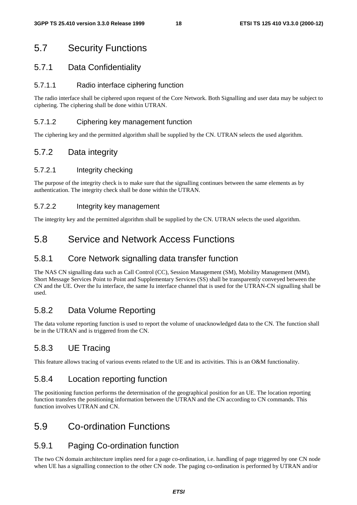# 5.7 Security Functions

### 5.7.1 Data Confidentiality

#### 5.7.1.1 Radio interface ciphering function

The radio interface shall be ciphered upon request of the Core Network. Both Signalling and user data may be subject to ciphering. The ciphering shall be done within UTRAN.

#### 5.7.1.2 Ciphering key management function

The ciphering key and the permitted algorithm shall be supplied by the CN. UTRAN selects the used algorithm.

### 5.7.2 Data integrity

#### 5.7.2.1 Integrity checking

The purpose of the integrity check is to make sure that the signalling continues between the same elements as by authentication. The integrity check shall be done within the UTRAN.

#### 5.7.2.2 Integrity key management

The integrity key and the permitted algorithm shall be supplied by the CN. UTRAN selects the used algorithm.

### 5.8 Service and Network Access Functions

#### 5.8.1 Core Network signalling data transfer function

The NAS CN signalling data such as Call Control (CC), Session Management (SM), Mobility Management (MM), Short Message Services Point to Point and Supplementary Services (SS) shall be transparently conveyed between the CN and the UE. Over the Iu interface, the same Iu interface channel that is used for the UTRAN-CN signalling shall be used.

### 5.8.2 Data Volume Reporting

The data volume reporting function is used to report the volume of unacknowledged data to the CN. The function shall be in the UTRAN and is triggered from the CN.

### 5.8.3 UE Tracing

This feature allows tracing of various events related to the UE and its activities. This is an O&M functionality.

### 5.8.4 Location reporting function

The positioning function performs the determination of the geographical position for an UE. The location reporting function transfers the positioning information between the UTRAN and the CN according to CN commands. This function involves UTRAN and CN.

### 5.9 Co-ordination Functions

### 5.9.1 Paging Co-ordination function

The two CN domain architecture implies need for a page co-ordination, i.e. handling of page triggered by one CN node when UE has a signalling connection to the other CN node. The paging co-ordination is performed by UTRAN and/or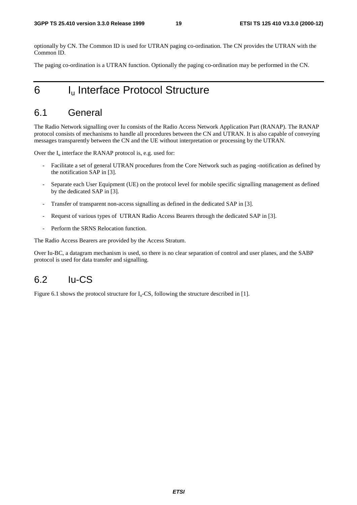optionally by CN. The Common ID is used for UTRAN paging co-ordination. The CN provides the UTRAN with the Common ID.

The paging co-ordination is a UTRAN function. Optionally the paging co-ordination may be performed in the CN.

# 6 I<sub>u</sub> Interface Protocol Structure

# 6.1 General

The Radio Network signalling over Iu consists of the Radio Access Network Application Part (RANAP). The RANAP protocol consists of mechanisms to handle all procedures between the CN and UTRAN. It is also capable of conveying messages transparently between the CN and the UE without interpretation or processing by the UTRAN.

Over the  $I_u$  interface the RANAP protocol is, e.g. used for:

- Facilitate a set of general UTRAN procedures from the Core Network such as paging -notification as defined by the notification SAP in [3].
- Separate each User Equipment (UE) on the protocol level for mobile specific signalling management as defined by the dedicated SAP in [3].
- Transfer of transparent non-access signalling as defined in the dedicated SAP in [3].
- Request of various types of UTRAN Radio Access Bearers through the dedicated SAP in [3].
- Perform the SRNS Relocation function.

The Radio Access Bearers are provided by the Access Stratum.

Over Iu-BC, a datagram mechanism is used, so there is no clear separation of control and user planes, and the SABP protocol is used for data transfer and signalling.

### 6.2 Iu-CS

Figure 6.1 shows the protocol structure for  $I_u$ -CS, following the structure described in [1].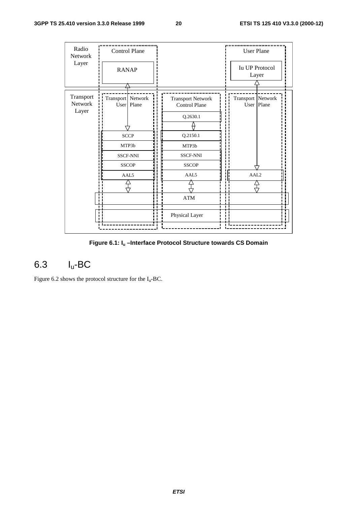| Radio<br>Network<br>Layer     | <b>Control Plane</b>                                            |       |                                                              | <b>User Plane</b>               |
|-------------------------------|-----------------------------------------------------------------|-------|--------------------------------------------------------------|---------------------------------|
|                               | <b>RANAP</b>                                                    |       |                                                              | <b>Iu UP Protocol</b><br>Layer  |
| Transport<br>Network<br>Layer | Transport Network<br>User                                       | Plane | <b>Transport Network</b><br><b>Control Plane</b><br>Q.2630.1 | Transport Network<br>User Plane |
|                               | <b>SCCP</b><br>MTP3b<br><b>SSCF-NNI</b><br><b>SSCOP</b><br>AAL5 |       | Q.2150.1                                                     |                                 |
|                               |                                                                 |       | MTP3b<br><b>SSCF-NNI</b>                                     |                                 |
|                               |                                                                 |       | <b>SSCOP</b><br>AAL5                                         | AAL2                            |
|                               |                                                                 |       | $\bold{ATM}$                                                 |                                 |
|                               |                                                                 |       | Physical Layer                                               |                                 |
|                               |                                                                 |       |                                                              |                                 |

**Figure 6.1: Iu –Interface Protocol Structure towards CS Domain**

# 6.3 Iu-BC

Figure 6.2 shows the protocol structure for the  $I_u$ -BC.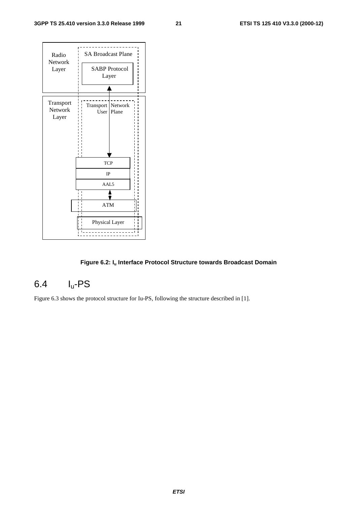

#### **Figure 6.2: Iu Interface Protocol Structure towards Broadcast Domain**

# 6.4 Iu-PS

Figure 6.3 shows the protocol structure for Iu-PS, following the structure described in [1].

**ETSI**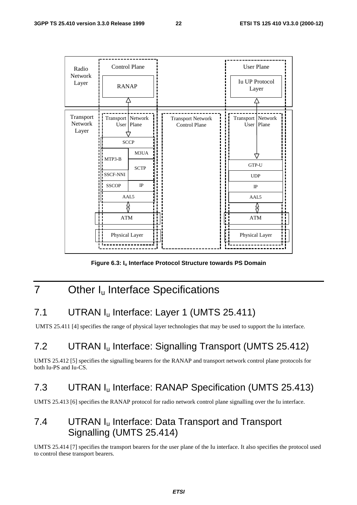

**Figure 6.3: Iu Interface Protocol Structure towards PS Domain**

# 7 Other I<sub>u</sub> Interface Specifications

# 7.1 UTRAN I<sub>u</sub> Interface: Layer 1 (UMTS 25.411)

UMTS 25.411 [4] specifies the range of physical layer technologies that may be used to support the Iu interface.

# 7.2 UTRAN Iu Interface: Signalling Transport (UMTS 25.412)

UMTS 25.412 [5] specifies the signalling bearers for the RANAP and transport network control plane protocols for both Iu-PS and Iu-CS.

### 7.3 UTRAN Iu Interface: RANAP Specification (UMTS 25.413)

UMTS 25.413 [6] specifies the RANAP protocol for radio network control plane signalling over the Iu interface.

# 7.4 UTRAN I<sub>u</sub> Interface: Data Transport and Transport Signalling (UMTS 25.414)

UMTS 25.414 [7] specifies the transport bearers for the user plane of the Iu interface. It also specifies the protocol used to control these transport bearers.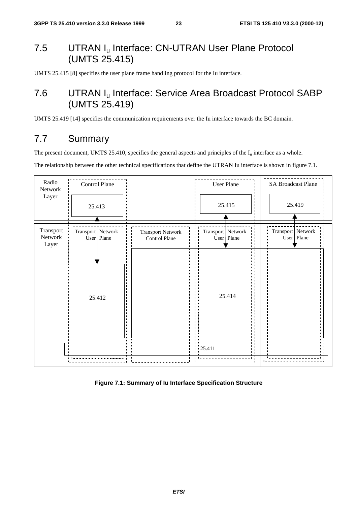# 7.5 UTRAN I<sub>u</sub> Interface: CN-UTRAN User Plane Protocol (UMTS 25.415)

UMTS 25.415 [8] specifies the user plane frame handling protocol for the Iu interface.

# 7.6 UTRAN Iu Interface: Service Area Broadcast Protocol SABP (UMTS 25.419)

UMTS 25.419 [14] specifies the communication requirements over the Iu interface towards the BC domain.

# 7.7 Summary

The present document, UMTS 25.410, specifies the general aspects and principles of the  $I_u$  interface as a whole.

The relationship between the other technical specifications that define the UTRAN Iu interface is shown in figure 7.1.



**Figure 7.1: Summary of Iu Interface Specification Structure**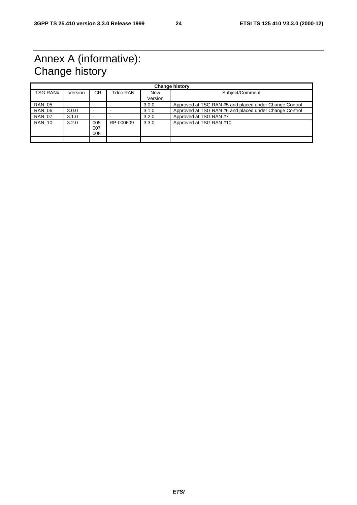# Annex A (informative): Change history

| <b>Change history</b> |         |                          |           |                |                                                        |
|-----------------------|---------|--------------------------|-----------|----------------|--------------------------------------------------------|
| <b>TSG RAN#</b>       | Version | CR.                      | Tdoc RAN  | New<br>Version | Subject/Comment                                        |
|                       |         |                          |           |                |                                                        |
| <b>RAN 05</b>         |         | -                        |           | 3.0.0          | Approved at TSG RAN #5 and placed under Change Control |
| <b>RAN 06</b>         | 3.0.0   | $\overline{\phantom{0}}$ |           | 3.1.0          | Approved at TSG RAN #6 and placed under Change Control |
| <b>RAN 07</b>         | 3.1.0   | -                        |           | 3.2.0          | Approved at TSG RAN #7                                 |
| <b>RAN 10</b>         | 3.2.0   | 005<br>007<br>008        | RP-000609 | 3.3.0          | Approved at TSG RAN #10                                |
|                       |         |                          |           |                |                                                        |